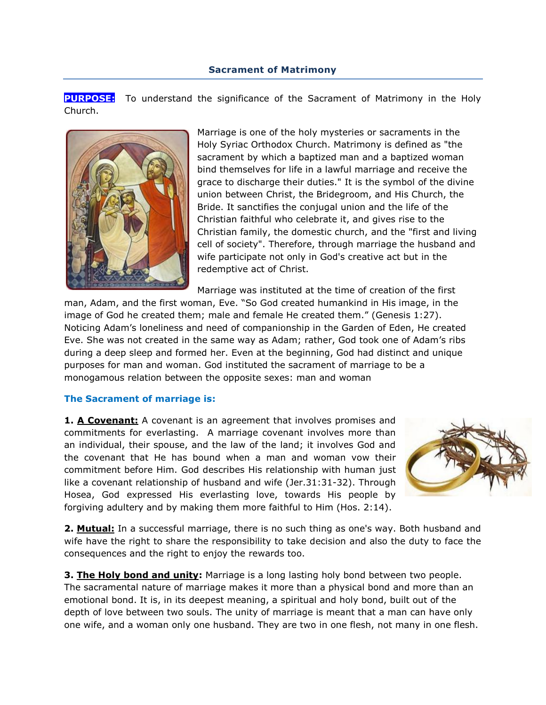### **Sacrament of Matrimony**

**PURPOSE:** To understand the significance of the Sacrament of Matrimony in the Holy Church.



Marriage is one of the holy mysteries or sacraments in the Holy Syriac Orthodox Church. Matrimony is defined as "the sacrament by which a baptized man and a baptized woman bind themselves for life in a lawful marriage and receive the grace to discharge their duties." It is the symbol of the divine union between Christ, the Bridegroom, and His Church, the Bride. It sanctifies the conjugal union and the life of the Christian faithful who celebrate it, and gives rise to the Christian family, the domestic church, and the "first and living cell of society". Therefore, through marriage the husband and wife participate not only in God's creative act but in the redemptive act of Christ.

Marriage was instituted at the time of creation of the first man, Adam, and the first woman, Eve. "So God created humankind in His image, in the image of God he created them; male and female He created them." (Genesis 1:27). Noticing Adam"s loneliness and need of companionship in the Garden of Eden, He created Eve. She was not created in the same way as Adam; rather, God took one of Adam"s ribs during a deep sleep and formed her. Even at the beginning, God had distinct and unique purposes for man and woman. God instituted the sacrament of marriage to be a monogamous relation between the opposite sexes: man and woman

### **The Sacrament of marriage is:**

**1. A Covenant:** A covenant is an agreement that involves promises and commitments for everlasting. A marriage covenant involves more than an individual, their spouse, and the law of the land; it involves God and the covenant that He has bound when a man and woman vow their commitment before Him. God describes His relationship with human just like a covenant relationship of husband and wife (Jer.31:31-32). Through Hosea, God expressed His everlasting love, towards His people by forgiving adultery and by making them more faithful to Him (Hos. 2:14).



**2. Mutual:** In a successful marriage, there is no such thing as one's way. Both husband and wife have the right to share the responsibility to take decision and also the duty to face the consequences and the right to enjoy the rewards too.

**3. The Holy bond and unity:** Marriage is a long lasting holy bond between two people. The sacramental nature of marriage makes it more than a physical bond and more than an emotional bond. It is, in its deepest meaning, a spiritual and holy bond, built out of the depth of love between two souls. The unity of marriage is meant that a man can have only one wife, and a woman only one husband. They are two in one flesh, not many in one flesh.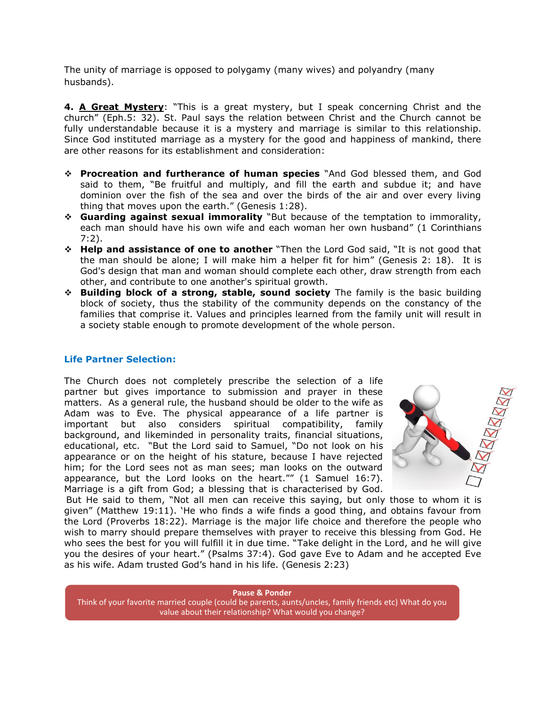The unity of marriage is opposed to polygamy (many wives) and polyandry (many husbands).

**4. A Great Mystery**: "This is a great mystery, but I speak concerning Christ and the church" (Eph.5: 32). St. Paul says the relation between Christ and the Church cannot be fully understandable because it is a mystery and marriage is similar to this relationship. Since God instituted marriage as a mystery for the good and happiness of mankind, there are other reasons for its establishment and consideration:

- **Procreation and furtherance of human species** "And God blessed them, and God said to them, "Be fruitful and multiply, and fill the earth and subdue it; and have dominion over the fish of the sea and over the birds of the air and over every living thing that moves upon the earth." (Genesis 1:28).
- **Guarding against sexual immorality** "But because of the temptation to immorality, each man should have his own wife and each woman her own husband" (1 Corinthians 7:2).
- **Help and assistance of one to another** "Then the Lord God said, "It is not good that the man should be alone; I will make him a helper fit for him" (Genesis 2: 18). It is God's design that man and woman should complete each other, draw strength from each other, and contribute to one another's spiritual growth.
- **Building block of a strong, stable, sound society** The family is the basic building block of society, thus the stability of the community depends on the constancy of the families that comprise it. Values and principles learned from the family unit will result in a society stable enough to promote development of the whole person.

### **Life Partner Selection:**

The Church does not completely prescribe the selection of a life partner but gives importance to submission and prayer in these matters. As a general rule, the husband should be older to the wife as Adam was to Eve. The physical appearance of a life partner is important but also considers spiritual compatibility, family background, and likeminded in personality traits, financial situations, educational, etc. "But the Lord said to Samuel, "Do not look on his appearance or on the height of his stature, because I have rejected him; for the Lord sees not as man sees; man looks on the outward appearance, but the Lord looks on the heart."" (1 Samuel 16:7). Marriage is a gift from God; a blessing that is characterised by God.



But He said to them, "Not all men can receive this saying, but only those to whom it is given" (Matthew 19:11). "He who finds a wife finds a good thing, and obtains favour from the Lord (Proverbs 18:22). Marriage is the major life choice and therefore the people who wish to marry should prepare themselves with prayer to receive this blessing from God. He who sees the best for you will fulfill it in due time. "Take delight in the Lord, and he will give you the desires of your heart." (Psalms 37:4). God gave Eve to Adam and he accepted Eve as his wife. Adam trusted God"s hand in his life. (Genesis 2:23)

**Pause & Ponder** Think of your favorite married couple (could be parents, aunts/uncles, family friends etc) What do you value about their relationship? What would you change?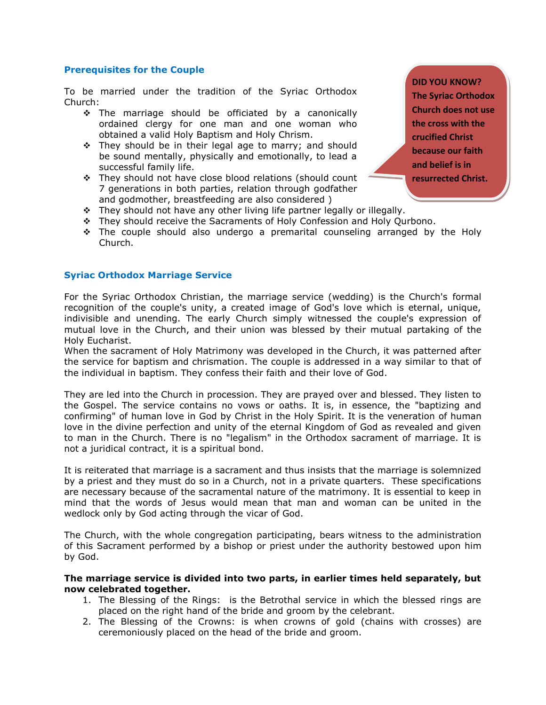## **Prerequisites for the Couple**

To be married under the tradition of the Syriac Orthodox Church:

- \* The marriage should be officiated by a canonically ordained clergy for one man and one woman who obtained a valid Holy Baptism and Holy Chrism.
- $\div$  They should be in their legal age to marry; and should be sound mentally, physically and emotionally, to lead a successful family life.
- They should not have close blood relations (should count 7 generations in both parties, relation through godfather and godmother, breastfeeding are also considered )
- \* They should not have any other living life partner legally or illegally.
- They should receive the Sacraments of Holy Confession and Holy Qurbono.
- $\div$  The couple should also undergo a premarital counseling arranged by the Holy Church.

### **Syriac Orthodox Marriage Service**

For the Syriac Orthodox Christian, the marriage service (wedding) is the Church's formal recognition of the couple's unity, a created image of God's love which is eternal, unique, indivisible and unending. The early Church simply witnessed the couple's expression of mutual love in the Church, and their union was blessed by their mutual partaking of the Holy Eucharist.

When the sacrament of Holy Matrimony was developed in the Church, it was patterned after the service for baptism and chrismation. The couple is addressed in a way similar to that of the individual in baptism. They confess their faith and their love of God.

They are led into the Church in procession. They are prayed over and blessed. They listen to the Gospel. The service contains no vows or oaths. It is, in essence, the "baptizing and confirming" of human love in God by Christ in the Holy Spirit. It is the veneration of human love in the divine perfection and unity of the eternal Kingdom of God as revealed and given to man in the Church. There is no "legalism" in the Orthodox sacrament of marriage. It is not a juridical contract, it is a spiritual bond.

It is reiterated that marriage is a sacrament and thus insists that the marriage is solemnized by a priest and they must do so in a Church, not in a private quarters. These specifications are necessary because of the sacramental nature of the matrimony. It is essential to keep in mind that the words of Jesus would mean that man and woman can be united in the wedlock only by God acting through the vicar of God.

The Church, with the whole congregation participating, bears witness to the administration of this Sacrament performed by a bishop or priest under the authority bestowed upon him by God.

#### **The marriage service is divided into two parts, in earlier times held separately, but now celebrated together.**

- 1. The Blessing of the Rings: is the Betrothal service in which the blessed rings are placed on the right hand of the bride and groom by the celebrant.
- 2. The Blessing of the Crowns: is when crowns of gold (chains with crosses) are ceremoniously placed on the head of the bride and groom.

**DID YOU KNOW? The Syriac Orthodox Church does not use the cross with the crucified Christ because our faith and belief is in resurrected Christ.**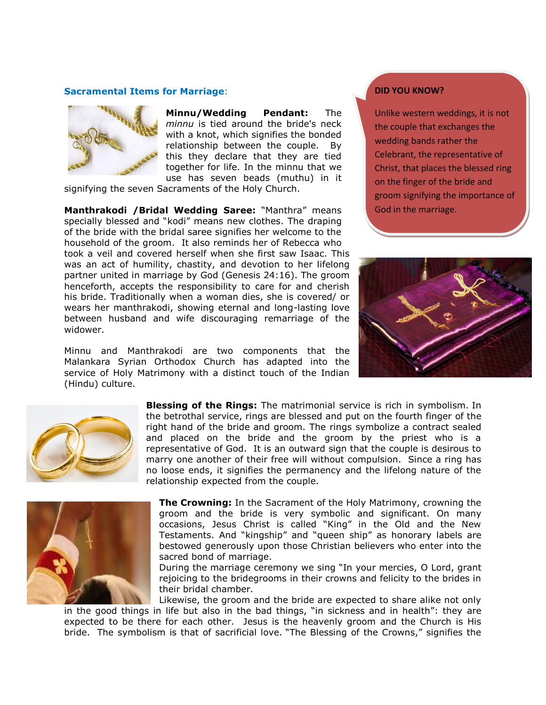#### **Sacramental Items for Marriage**:



**Minnu/Wedding Pendant:** The *minnu* is tied around the bride's neck with a knot, which signifies the bonded relationship between the couple. By this they declare that they are tied together for life. In the minnu that we use has seven beads (muthu) in it

signifying the seven Sacraments of the Holy Church.

**Manthrakodi /Bridal Wedding Saree:** "Manthra" means specially blessed and "kodi" means new clothes. The draping of the bride with the bridal saree signifies her welcome to the household of the groom. It also reminds her of Rebecca who took a veil and covered herself when she first saw Isaac. This was an act of humility, chastity, and devotion to her lifelong partner united in marriage by God (Genesis 24:16). The groom henceforth, accepts the responsibility to care for and cherish his bride. Traditionally when a woman dies, she is covered/ or wears her manthrakodi, showing eternal and long-lasting love between husband and wife discouraging remarriage of the widower.

Minnu and Manthrakodi are two components that the Malankara Syrian Orthodox Church has adapted into the service of Holy Matrimony with a distinct touch of the Indian (Hindu) culture.

#### **DID YOU KNOW?**

Unlike western weddings, it is not the couple that exchanges the wedding bands rather the Celebrant, the representative of Christ, that places the blessed ring on the finger of the bride and groom signifying the importance of God in the marriage.





**Blessing of the Rings:** The matrimonial service is rich in symbolism. In the betrothal service, rings are blessed and put on the fourth finger of the right hand of the bride and groom. The rings symbolize a contract sealed and placed on the bride and the groom by the priest who is a representative of God. It is an outward sign that the couple is desirous to marry one another of their free will without compulsion. Since a ring has no loose ends, it signifies the permanency and the lifelong nature of the relationship expected from the couple.



**The Crowning:** In the Sacrament of the Holy Matrimony, crowning the groom and the bride is very symbolic and significant. On many occasions, Jesus Christ is called "King" in the Old and the New Testaments. And "kingship" and "queen ship" as honorary labels are bestowed generously upon those Christian believers who enter into the sacred bond of marriage.

During the marriage ceremony we sing "In your mercies, O Lord, grant rejoicing to the bridegrooms in their crowns and felicity to the brides in their bridal chamber.

Likewise, the groom and the bride are expected to share alike not only in the good things in life but also in the bad things, "in sickness and in health": they are expected to be there for each other. Jesus is the heavenly groom and the Church is His bride. The symbolism is that of sacrificial love. "The Blessing of the Crowns," signifies the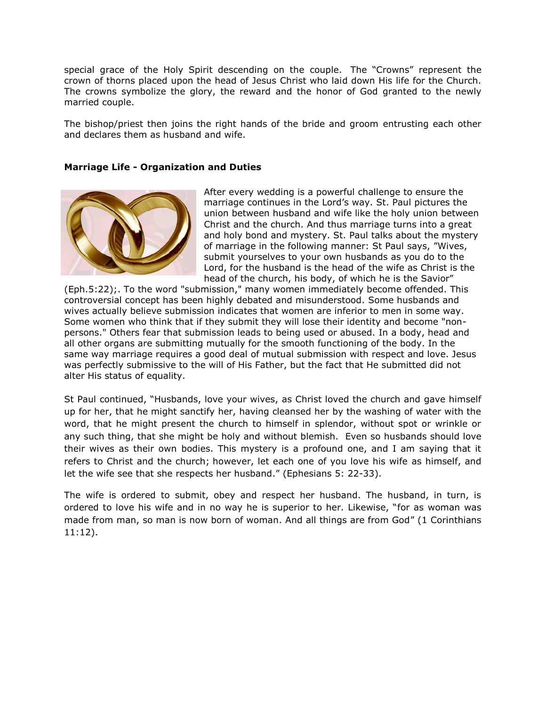special grace of the Holy Spirit descending on the couple. The "Crowns" represent the crown of thorns placed upon the head of Jesus Christ who laid down His life for the Church. The crowns symbolize the glory, the reward and the honor of God granted to the newly married couple.

The bishop/priest then joins the right hands of the bride and groom entrusting each other and declares them as husband and wife.

### **Marriage Life - Organization and Duties**



After every wedding is a powerful challenge to ensure the marriage continues in the Lord"s way. St. Paul pictures the union between husband and wife like the holy union between Christ and the church. And thus marriage turns into a great and holy bond and mystery. St. Paul talks about the mystery of marriage in the following manner: St Paul says, "Wives, submit yourselves to your own husbands as you do to the Lord, for the husband is the head of the wife as Christ is the head of the church, his body, of which he is the Savior"

(Eph.5:22);. To the word "submission," many women immediately become offended. This controversial concept has been highly debated and misunderstood. Some husbands and wives actually believe submission indicates that women are inferior to men in some way. Some women who think that if they submit they will lose their identity and become "nonpersons." Others fear that submission leads to being used or abused. In a body, head and all other organs are submitting mutually for the smooth functioning of the body. In the same way marriage requires a good deal of mutual submission with respect and love. Jesus was perfectly submissive to the will of His Father, but the fact that He submitted did not alter His status of equality.

St Paul continued, "Husbands, love your wives, as Christ loved the church and gave himself up for her, that he might sanctify her, having cleansed her by the washing of water with the word, that he might present the church to himself in splendor, without spot or wrinkle or any such thing, that she might be holy and without blemish. Even so husbands should love their wives as their own bodies. This mystery is a profound one, and I am saying that it refers to Christ and the church; however, let each one of you love his wife as himself, and let the wife see that she respects her husband." (Ephesians 5: 22-33).

The wife is ordered to submit, obey and respect her husband. The husband, in turn, is ordered to love his wife and in no way he is superior to her. Likewise, "for as woman was made from man, so man is now born of woman. And all things are from God" (1 Corinthians 11:12).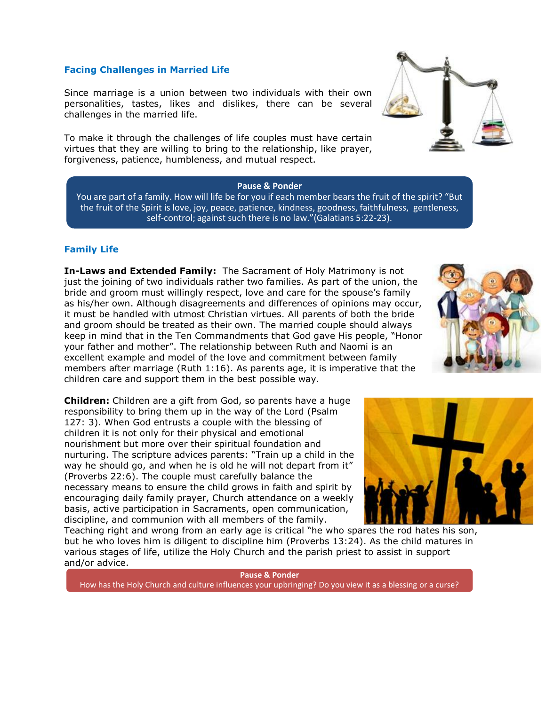## **Facing Challenges in Married Life**

Since marriage is a union between two individuals with their own personalities, tastes, likes and dislikes, there can be several challenges in the married life.

To make it through the challenges of life couples must have certain virtues that they are willing to bring to the relationship, like prayer, forgiveness, patience, humbleness, and mutual respect.

#### **Pause & Ponder**

You are part of a family. How will life be for you if each member bears the fruit of the spirit? "But the fruit of the Spirit is love, joy, peace, patience, kindness, goodness, faithfulness, gentleness, self-control; against such there is no law."(Galatians 5:22-23).

### **Family Life**

**In-Laws and Extended Family:** The Sacrament of Holy Matrimony is not just the joining of two individuals rather two families. As part of the union, the bride and groom must willingly respect, love and care for the spouse's family as his/her own. Although disagreements and differences of opinions may occur, it must be handled with utmost Christian virtues. All parents of both the bride and groom should be treated as their own. The married couple should always keep in mind that in the Ten Commandments that God gave His people, "Honor your father and mother". The relationship between Ruth and Naomi is an excellent example and model of the love and commitment between family members after marriage (Ruth 1:16). As parents age, it is imperative that the children care and support them in the best possible way.

**Children:** Children are a gift from God, so parents have a huge responsibility to bring them up in the way of the Lord (Psalm 127: 3). When God entrusts a couple with the blessing of children it is not only for their physical and emotional nourishment but more over their spiritual foundation and nurturing. The scripture advices parents: "Train up a child in the way he should go, and when he is old he will not depart from it" (Proverbs 22:6). The couple must carefully balance the necessary means to ensure the child grows in faith and spirit by encouraging daily family prayer, Church attendance on a weekly basis, active participation in Sacraments, open communication, discipline, and communion with all members of the family.

Teaching right and wrong from an early age is critical "he who spares the rod hates his son, but he who loves him is diligent to discipline him (Proverbs 13:24). As the child matures in various stages of life, utilize the Holy Church and the parish priest to assist in support and/or advice.

**Pause & Ponder** How has the Holy Church and culture influences your upbringing? Do you view it as a blessing or a curse?





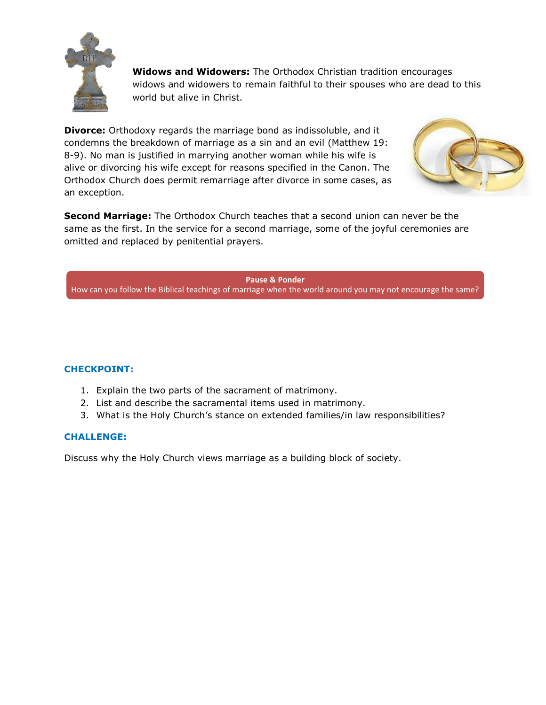

**Widows and Widowers:** The Orthodox Christian tradition encourages widows and widowers to remain faithful to their spouses who are dead to this world but alive in Christ.

**Divorce:** Orthodoxy regards the marriage bond as indissoluble, and it condemns the breakdown of marriage as a sin and an evil (Matthew 19: 8-9). No man is justified in marrying another woman while his wife is alive or divorcing his wife except for reasons specified in the Canon. The Orthodox Church does permit remarriage after divorce in some cases, as an exception.



**Second Marriage:** The Orthodox Church teaches that a second union can never be the same as the first. In the service for a second marriage, some of the joyful ceremonies are omitted and replaced by penitential prayers.

**Pause & Ponder** How can you follow the Biblical teachings of marriage when the world around you may not encourage the same?

# **CHECKPOINT:**

- 1. Explain the two parts of the sacrament of matrimony.
- 2. List and describe the sacramental items used in matrimony.
- 3. What is the Holy Church"s stance on extended families/in law responsibilities?

# **CHALLENGE:**

Discuss why the Holy Church views marriage as a building block of society.